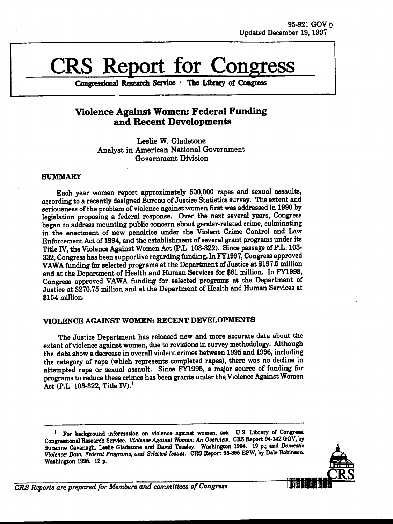# **CRS** Report for Cong

**Congressional Research Service The Library of Congress**

### **Violence Against Women: Federal Funding and Recent Developments**

Leslie W. Gladstone Analyst in American National Government Government Division

#### SUMMARY

Each year women report approximately 500,000 rapes and sexual assaults, according to a recently designed Bureau of Justice Statistics survey. The extent and seriousness of the problem of violence against women first was addressed in 1990 by legislation proposing a federal response. Over the next several years, Congress began to address mounting public concern about gender-related crime, culminating in the enactment of new penalties under the Violent Crime Control and Law Enforcement Act of 1994, and the establishment of several grant programs under its Title IV, the Violence Against Women Act (P.L. 103-322). Since passage of P.L. 103- 332, Congress has been supportive regarding funding. In FY1997, Congress approved VAWA funding for selected programs at the Department of Justice at \$197.5 million and at the Department of Health and Human Services for \$61 million. In FY1998, Congress approved VAWA funding for selected programs at the Department of Justice at \$270.75 million and at the Department of Health and Human Services at \$154 million.

#### **VIOLENCE AGAINST** WOMEN: **RECENT DEVELOPMENTS**

The Justice Department has released new and more accurate data about the extent of violence against women, due to revisions in survey methodology. Although the data show a decrease in overall violent crimes between 1995 and 1996, including the category of rape (which represents completed rapes), there was no decline in attempted rape or sexual assault. Since FY1995, a major source of funding for programs to reduce these crimes has been grants under the. Violence Against Women Act (P.L. 103-322, Title IV).'

**I** For background information on violence against women, see: **U.S.** Library of *Congress.* Congressional Research Service. *Violence Against Women: An Overview.* CRS Report 94-142 **GOV, by** Suzanne Cavanagh, Leslie Gladstone and David Teasley. Washington 1994. **19 p.;** and *Domestic Violence: Data, Federal Programs, and Selected Issues.* CRS Report **95-866** EPW, **by** Dale Robinson. Washington **1995.** 12 **p.**

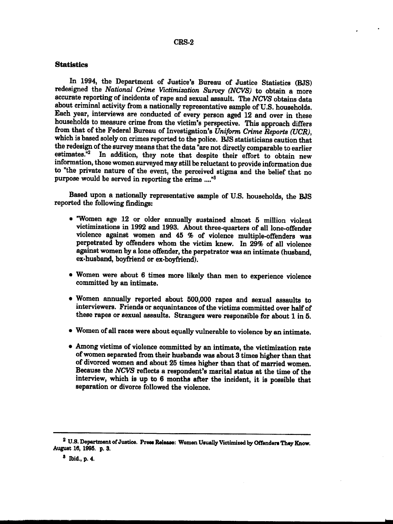#### CRS-2

#### **Statistics**

In 1994, the Department of Justice's Bureau of Justice Statistics (BJS) redesigned the *National Crime Victimization Survey (NCVS)* to obtain a more accurate reporting of incidents of rape and sexual assault. The *NCVS* obtains data about criminal activity from a nationally representative sample of U.S. households. Each year, interviews are conducted of every person aged 12 and over in these households to measure crime from the victim's perspective. This approach differs from that of the Federal Bureau of Investigation's Uniform Crime Reports (UCR). which is based solely on crimes reported to the police. BJS statisticians caution that the redesign of the survey means that the data "are not directly comparable to earlier estimates. $\overline{n}^2$  In addition, they note that despite their effort to obtain new information, those women surveyed may still be reluctant to provide information due to "the private nature of the event, the perceived stigma and the belief that no purpose would be served in reporting the crime ...."8

Based upon a nationally representative sample of U.S. households, the BJS reported the following findings:

- "Women age 12 or older annually sustained almost 5 million violent victimizations in 1992 and 1993. About three-quarters of all lone-offender violence against women and 45 % of violence multiple-offenders was perpetrated by offenders whom the victim knew. In **29%** of all violence against women by a lone offender, the perpetrator was an intimate (husband, ex-husband, boyfriend or ex-boyfriend).
- . Women were about 6 times more likely than men to experience violence committed by an intimate.
- Women annually reported about 500,000 rapes and sexual assaults to interviewers. Friends or acquaintances of the victims committed over half of these rapes or sexual assaults. Strangers were responsible for about 1 in 5.
- $\bullet$  Women of all races were about equally vulnerable to violence by an intimate.
- $\bullet$  Among victims of violence committed by an intimate, the victimization rate of women separated from their husbands was about 3 times higher than that of divorced women and about 25 times higher than that of married women. Because the *NCVS* reflects a respondent's marital status at the time of the interview, which is up to 6 months after the incident, it is possible that separation or divorce followed the violence.

-" --

<sup>2</sup> U.S. Department of Justice. Press Release: Women Usually Victimized by Offenders They Know. August 16, 1995. p. 3.

<sup>8</sup> Ibid., p. 4.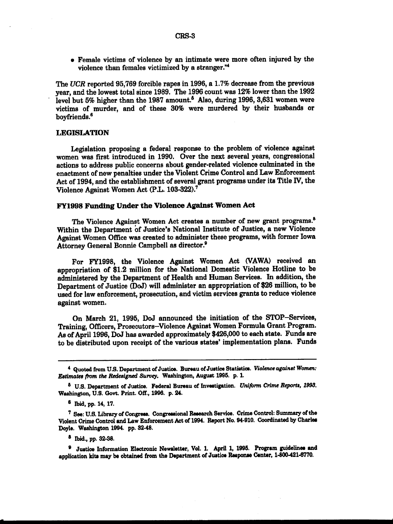• Female victims of violence by an intimate were more often injured by the violence than females victimized by a stranger."4

The *UCR* reported **95,769** forcible rapes in **1996,** a 1.7% decrease from the previous year, and the lowest total since 1989. The **1996** count was 12% lower than the 1992 level but 5% higher than the 1987 amount.<sup>5</sup> Also, during 1996, 3,631 women were victims of murder, and of these 30% were murdered by their husbands or boyfriends.<sup>6</sup>

#### **LEGISLATION**

Legislation proposing a federal response to the problem of violence against women was first introduced in 1990. Over the next several years, congressional actions to address public concerns about gender-related violence culminated in the enactment of new penalties under the Violent Crime Control and Law Enforcement Act of 1994, and the establishment of several grant programs under its Title IV, the Violence Against Women Act (P.L. 103-322).7

#### **FY1998 Funding Under the Violence Against Women Act**

The Violence Against Women Act creates a number of new grant programs.<sup>8</sup> Within the Department of Justice's National Institute of Justice, a new Violence Against Women Office was created to administer these programs, with former Iowa Attorney General Bonnie Campbell as director

For FY1998, the Violence Against Women Act (VAWA) received an appropriation of \$1.2 million for the National Domestic Violence Hotline to be administered by the Department of Health and Human Services. In addition, the Department of Justice (DoJ) will administer an appropriation of **\$26** million, to be used for law enforcement, prosecution, and victim services grants to reduce violence against women.

On March 21, 1995, DoJ announced the initiation of the STOP-Services, Training, Officers, Prosecutors-Violence Against Women Formula Grant Program. As of April **1996,** DoJ has awarded approximately \$426,000 to each state. Funds are to be distributed upon receipt of the various states' implementation plans. Funds

**8** Ibid., **pp.** 32-38.

**<sup>9</sup>**Justice Information Electronic Newsletter, Vol. **1.** April **1, 1995.** Program guidelines and application kite may be obtained from the Department of Justice Response Center, **1-800421-6770.**

<sup>4</sup> Quoted from **U.S.** Department of Justice. Bureau of Justice Statistics. *Violence against Women: Estimates from the Redesigned Survey.* Washington, August **1996. p.** 1

**<sup>6</sup> U.S.** Department of Justice. Federal Bureau of Investigation. *Uniform Crime Reports, 1993.* Washington, **U.S.** Govt. **Print. Off., 1996. p.** 24.

**<sup>6</sup>** Ibid, **pp.** 14, **17.**

**<sup>7</sup>See: U.S.** Library of Congress. Congressional Research Service. Crime Control: Summary of the Violent Crime Control and Law Enforcement Act of 1994. Report No. 94-910. Coordinated **by** Charles Doyle. Washington 1994. **pp.** 32-48.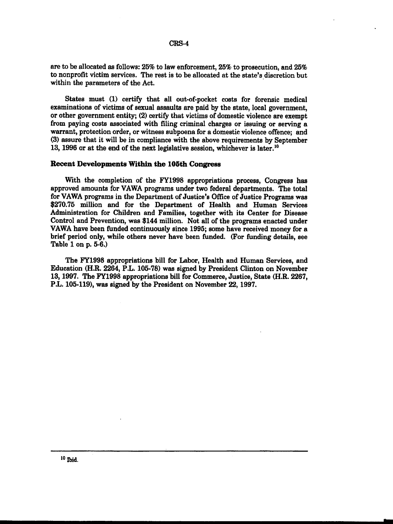#### CRS-4

are to be allocated as follows: 25% to law enforcement, 25% to prosecution, and 25% to nonprofit victim services. The rest is to be allocated at the state's discretion but within the parameters of the Act.

States must (1) certify that all out-of-pocket costs for forensic medical examinations of victims of sexual assaults are paid by the state, local government, or other government entity; (2) certify that victims of domestic violence are exempt from paying costs associated with filing criminal charges or issuing or serving a warrant, protection order, or witness subpoena for a domestic violence offence; and (3) assure that it will be in compliance with the above requirements by September 13, 1996 or at the end of the next legislative session, whichever is later.'0

#### **Recent Developments Within the 105th Congress**

With the completion of the FY1998 appropriations process, Congress has approved amounts for VAWA programs under two federal departments. The total for VAWA programs in the Department of Justice's Office of Justice Programs was \$270.75 million and for the Department of Health and Human Services Administration for Children and Families, together with its Center for Disease Control and Prevention, was \$144 million. Not all of the programs enacted under VAWA have been funded continuously since 1995; some have received money for a brief period only, while others never have been funded. (For funding details, see Table 1 on p. 5-6.)

The FY1998 appropriations bill for Labor, Health and Human Services, and Education (H.R. 2264, P.L. 105-78) was signed by President Clinton on November 13, 1997. The FY1998 appropriations bill for Commerce, Justice, State (H.R. 2267, P.L. 105-119), was signed by the President on November 22, 1997.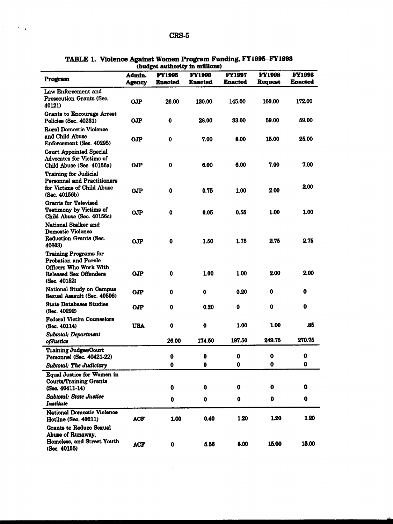$\mathcal{A}^{\text{max}}_{\text{max}}$ 

| Program                                                                                                                                | Admin.<br><b>Agency</b> | <b>FY1995</b><br><b>Enacted</b> | <b>FY1996</b><br><b>Enacted</b> | <b>FY1997</b><br><b>Enacted</b> | <b>FY1998</b><br><b>Request</b> | <b>FY1998</b><br><b>Enacted</b> |
|----------------------------------------------------------------------------------------------------------------------------------------|-------------------------|---------------------------------|---------------------------------|---------------------------------|---------------------------------|---------------------------------|
| Law Enforcement and<br>Prosecution Grants (Sec.<br>40121)                                                                              | <b>OJP</b>              | 26.00                           | 130.00                          | 145.00                          | 160.00                          | 172.00                          |
| <b>Grants to Encourage Arrest</b><br>Policies (Sec. 40231)                                                                             | OР                      | 0                               | 28.00                           | 33.00                           | 59.00                           | 59.00                           |
| <b>Rural Domestic Violence</b><br>and Child Abuse<br>Enforcement (Sec. 40295)                                                          | O <sub>OP</sub>         | 0                               | 7.00                            | 8.00                            | 15.00                           | 25.00                           |
| <b>Court Appointed Special</b><br><b>Advocates for Victims of</b><br>Child Abuse (Sec. 40156a)                                         | OJP                     | $\mathbf 0$                     | 6.00                            | 6.00                            | 7.00                            | 7.00                            |
| <b>Training for Judicial</b><br><b>Personnel and Practitioners</b><br>for Victims of Child Abuse<br>(Sec. 40156b)                      | OJP                     | 0                               | 0.75                            | 1.00                            | 2.00                            | 2.00                            |
| <b>Grants for Televised</b><br><b>Testimony by Victims of</b><br>Child Abuse (Sec. 40156c)                                             | O <sub>OP</sub>         | 0                               | 0.05                            | 0.55                            | 1.00                            | 1.00                            |
| National Stalker and<br><b>Domestic Violence</b><br>Reduction Grants (Sec.<br>40603)                                                   | <b>OJP</b>              | 0                               | 1.50                            | 1.75                            | 2.75                            | 2.75                            |
| <b>Training Programs for</b><br><b>Probation and Parole</b><br>Officers Who Work With<br><b>Released Sex Offenders</b><br>(Sec. 40152) | O <sub>OP</sub>         | 0                               | 1.00                            | 1.00                            | 2.00                            | 2.00                            |
| <b>National Study on Campus</b><br>Sexual Assault (Sec. 40506)                                                                         | O <sub>J</sub> P        | 0                               | $\mathbf 0$                     | 0.20                            | 0                               | $\mathbf 0$                     |
| <b>State Databases Studies</b><br>(Sec. 40292)                                                                                         | <b>OJP</b>              | 0                               | 0.20                            | $\mathbf 0$                     | $\mathbf 0$                     | 0                               |
| <b>Federal Victim Counselors</b><br>(Sec. 40114)                                                                                       | <b>USA</b>              | 0                               | $\mathbf 0$                     | 1.00                            | 1.00                            | .85                             |
| Subtotal: Department<br>ofJustice                                                                                                      |                         | 26.00                           | 174.50                          | 197.50                          | 249.75                          | 270.75                          |
| <b>Training Judges/Court</b><br>Personnel (Sec. 40421-22)                                                                              |                         | $\mathbf 0$                     | 0                               |                                 | 0                               | 0                               |
| Subtotal: The Judiciary                                                                                                                |                         | 0                               | 0                               | 0                               | 0                               | 0                               |
| <b>Equal Justice for Women in</b><br><b>Courts/Training Grants</b><br>(Sec. 40411-14)                                                  |                         | 0                               | 0                               | 0                               | O                               | o                               |
| Subtotal; State Justice<br>Institute                                                                                                   |                         | 0                               | $\bullet$                       | 0                               | 0                               | $\mathbf 0$                     |
| <b>National Domestic Violence</b><br><b>Hotline (Sec. 40211)</b>                                                                       | <b>ACF</b>              | 1.00                            | 0.40                            | 1.20                            | 1.20                            | 1.20                            |
| <b>Grants to Reduce Sexual</b><br>Abuse of Runaway,<br>Homeless, and Street Youth<br>(Sec. 40155)                                      | <b>ACF</b>              | 0                               | 5.56                            | 8.00                            | 15.00                           | 15.00                           |

 $\bar{\beta}$ 

**TABLE 1. Violence Against Women Program Funding, FY1995-FY1998** (budget authority in millions)